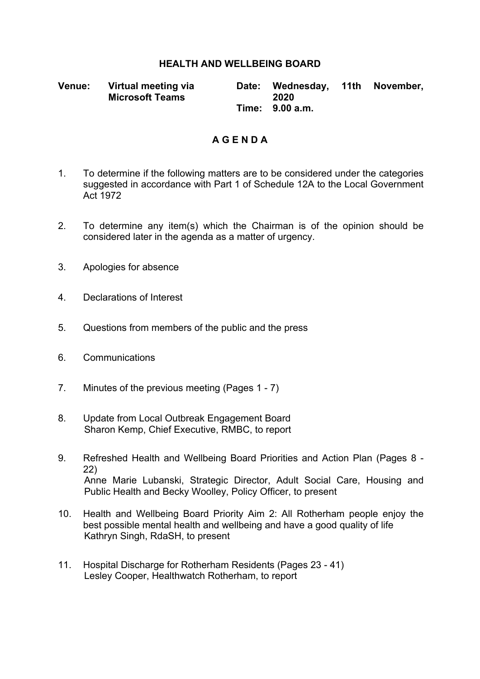## **HEALTH AND WELLBEING BOARD**

**Venue: Virtual meeting via Microsoft Teams Date: Wednesday, 11th November, 2020 Time: 9.00 a.m.**

## **A G E N D A**

- 1. To determine if the following matters are to be considered under the categories suggested in accordance with Part 1 of Schedule 12A to the Local Government Act 1972
- 2. To determine any item(s) which the Chairman is of the opinion should be considered later in the agenda as a matter of urgency.
- 3. Apologies for absence
- 4. Declarations of Interest
- 5. Questions from members of the public and the press
- 6. Communications
- 7. Minutes of the previous meeting (Pages 1 7)
- 8. Update from Local Outbreak Engagement Board Sharon Kemp, Chief Executive, RMBC, to report
- 9. Refreshed Health and Wellbeing Board Priorities and Action Plan (Pages 8 22) Anne Marie Lubanski, Strategic Director, Adult Social Care, Housing and Public Health and Becky Woolley, Policy Officer, to present
- 10. Health and Wellbeing Board Priority Aim 2: All Rotherham people enjoy the best possible mental health and wellbeing and have a good quality of life Kathryn Singh, RdaSH, to present
- 11. Hospital Discharge for Rotherham Residents (Pages 23 41) Lesley Cooper, Healthwatch Rotherham, to report